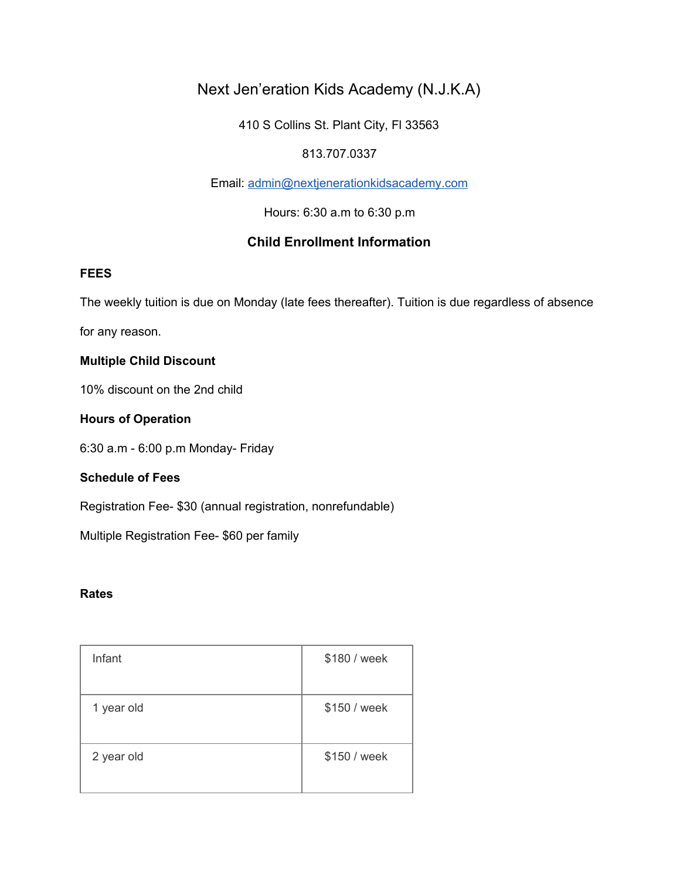# Next Jen'eration Kids Academy (N.J.K.A)

410 S Collins St. Plant City, Fl 33563

## 813.707.0337

Email: [admin@nextjenerationkidsacademy.com](mailto:admin@nextjenerationkidsacademy.com)

Hours: 6:30 a.m to 6:30 p.m

## **Child Enrollment Information**

#### **FEES**

The weekly tuition is due on Monday (late fees thereafter). Tuition is due regardless of absence

for any reason.

### **Multiple Child Discount**

10% discount on the 2nd child

### **Hours of Operation**

6:30 a.m - 6:00 p.m Monday- Friday

## **Schedule of Fees**

Registration Fee- \$30 (annual registration, nonrefundable)

Multiple Registration Fee- \$60 per family

#### **Rates**

| Infant     | \$180 / week |
|------------|--------------|
| 1 year old | \$150 / week |
| 2 year old | \$150 / week |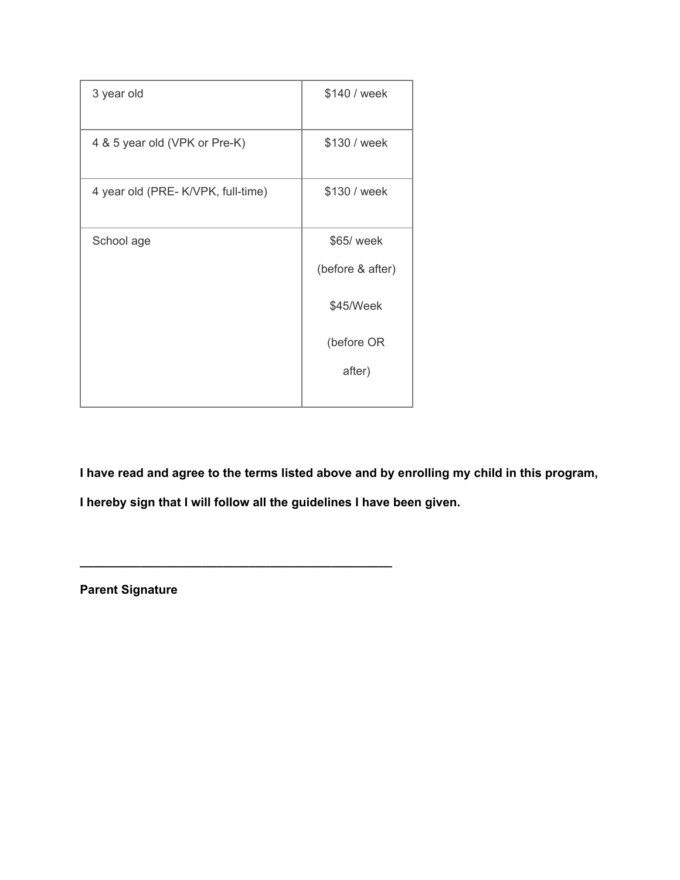| 3 year old                        | \$140 / week     |
|-----------------------------------|------------------|
| 4 & 5 year old (VPK or Pre-K)     | \$130 / week     |
| 4 year old (PRE-K/VPK, full-time) | \$130 / week     |
| School age                        | \$65/ week       |
|                                   | (before & after) |
|                                   | \$45/Week        |
|                                   | (before OR       |
|                                   | after)           |

**I have read and agree to the terms listed above and by enrolling my child in this program,**

**I hereby sign that I will follow all the guidelines I have been given.**

**\_\_\_\_\_\_\_\_\_\_\_\_\_\_\_\_\_\_\_\_\_\_\_\_\_\_\_\_\_\_\_\_\_\_\_\_\_\_\_\_\_\_\_\_\_\_**

**Parent Signature**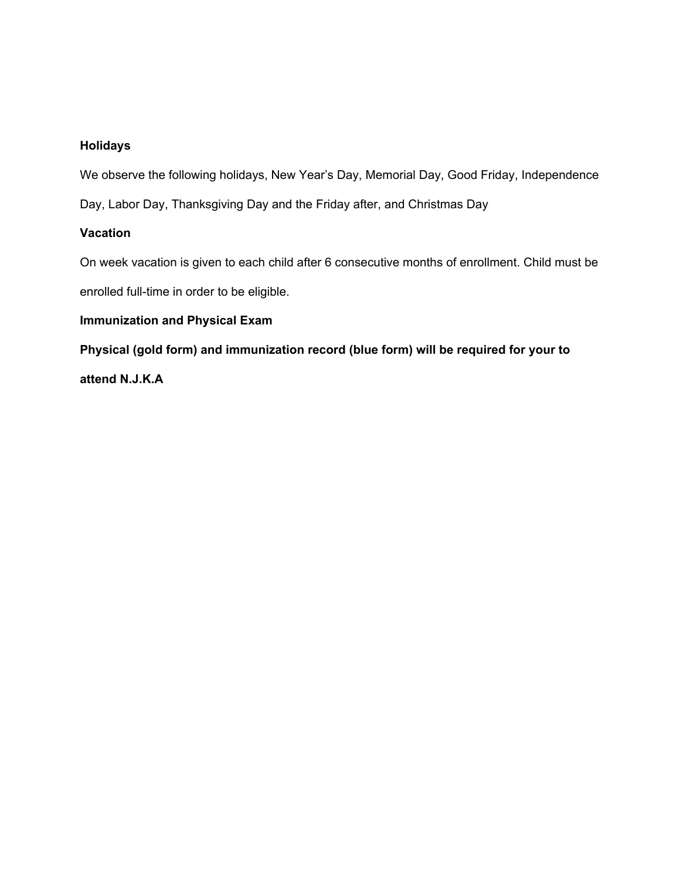## **Holidays**

We observe the following holidays, New Year's Day, Memorial Day, Good Friday, Independence

Day, Labor Day, Thanksgiving Day and the Friday after, and Christmas Day

## **Vacation**

On week vacation is given to each child after 6 consecutive months of enrollment. Child must be enrolled full-time in order to be eligible.

### **Immunization and Physical Exam**

**Physical (gold form) and immunization record (blue form) will be required for your to**

**attend N.J.K.A**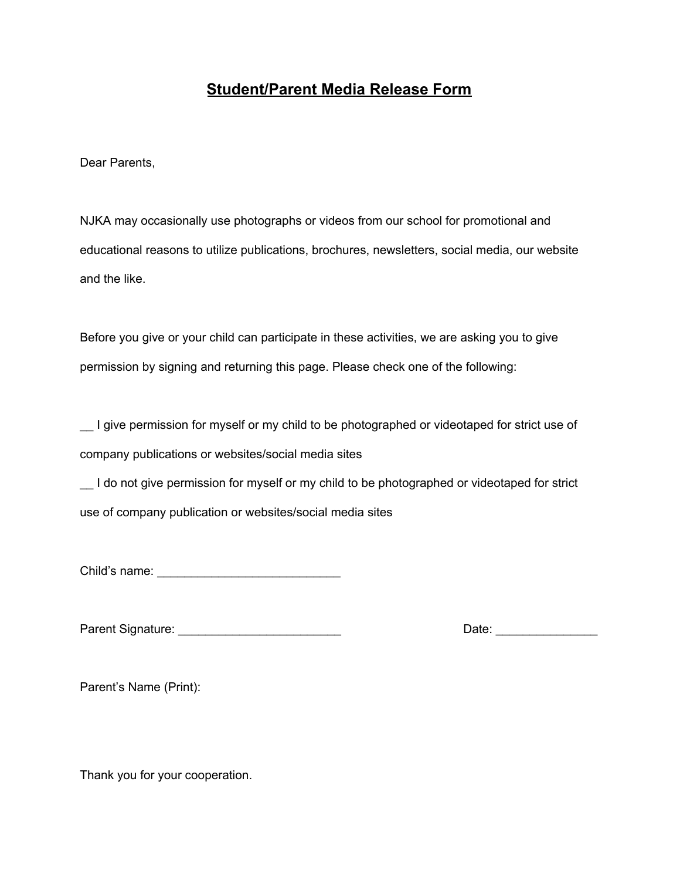# **Student/Parent Media Release Form**

Dear Parents,

NJKA may occasionally use photographs or videos from our school for promotional and educational reasons to utilize publications, brochures, newsletters, social media, our website and the like.

Before you give or your child can participate in these activities, we are asking you to give permission by signing and returning this page. Please check one of the following:

\_\_ I give permission for myself or my child to be photographed or videotaped for strict use of company publications or websites/social media sites

\_\_ I do not give permission for myself or my child to be photographed or videotaped for strict use of company publication or websites/social media sites

Child's name: \_\_\_\_\_\_\_\_\_\_\_\_\_\_\_\_\_\_\_\_\_\_\_\_\_\_\_

Parent Signature: \_\_\_\_\_\_\_\_\_\_\_\_\_\_\_\_\_\_\_\_\_\_\_\_ Date: \_\_\_\_\_\_\_\_\_\_\_\_\_\_\_

Parent's Name (Print):

Thank you for your cooperation.